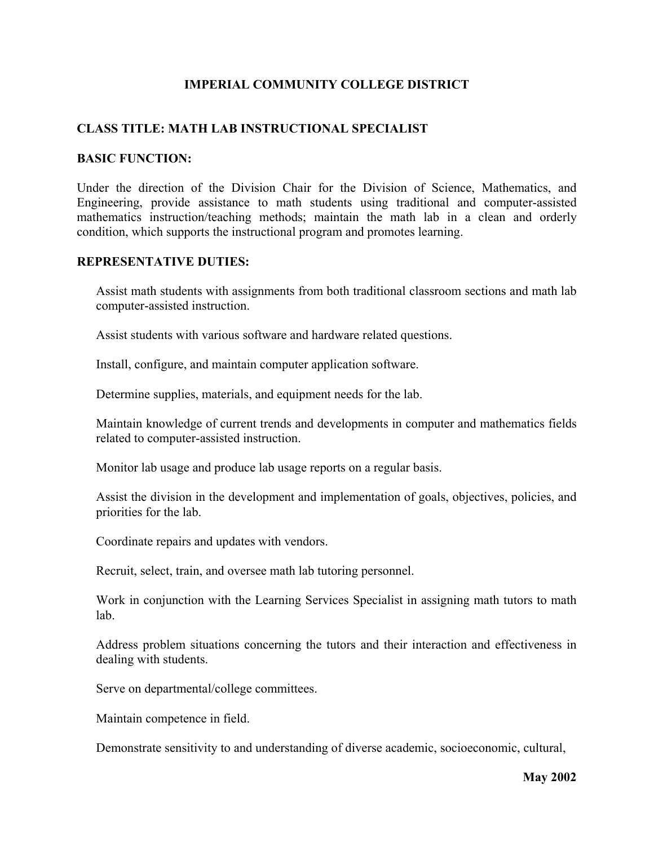# **IMPERIAL COMMUNITY COLLEGE DISTRICT**

## **CLASS TITLE: MATH LAB INSTRUCTIONAL SPECIALIST**

### **BASIC FUNCTION:**

Under the direction of the Division Chair for the Division of Science, Mathematics, and Engineering, provide assistance to math students using traditional and computer-assisted mathematics instruction/teaching methods; maintain the math lab in a clean and orderly condition, which supports the instructional program and promotes learning.

### **REPRESENTATIVE DUTIES:**

Assist math students with assignments from both traditional classroom sections and math lab computer-assisted instruction.

Assist students with various software and hardware related questions.

Install, configure, and maintain computer application software.

Determine supplies, materials, and equipment needs for the lab.

Maintain knowledge of current trends and developments in computer and mathematics fields related to computer-assisted instruction.

Monitor lab usage and produce lab usage reports on a regular basis.

Assist the division in the development and implementation of goals, objectives, policies, and priorities for the lab.

Coordinate repairs and updates with vendors.

Recruit, select, train, and oversee math lab tutoring personnel.

Work in conjunction with the Learning Services Specialist in assigning math tutors to math lab.

Address problem situations concerning the tutors and their interaction and effectiveness in dealing with students.

Serve on departmental/college committees.

Maintain competence in field.

Demonstrate sensitivity to and understanding of diverse academic, socioeconomic, cultural,